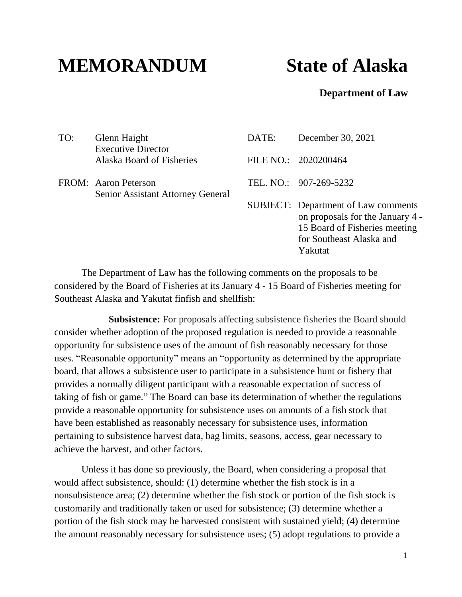## **MEMORANDUM State of Alaska**

## **Department of Law**

| TO: | Glenn Haight<br><b>Executive Director</b>                 | DATE: | December 30, 2021                                                                                                                                      |
|-----|-----------------------------------------------------------|-------|--------------------------------------------------------------------------------------------------------------------------------------------------------|
|     | Alaska Board of Fisheries                                 |       | FILE NO.: 2020200464                                                                                                                                   |
|     | FROM: Aaron Peterson<br>Senior Assistant Attorney General |       | TEL. NO.: 907-269-5232                                                                                                                                 |
|     |                                                           |       | <b>SUBJECT:</b> Department of Law comments<br>on proposals for the January 4 -<br>15 Board of Fisheries meeting<br>for Southeast Alaska and<br>Yakutat |

The Department of Law has the following comments on the proposals to be considered by the Board of Fisheries at its January 4 - 15 Board of Fisheries meeting for Southeast Alaska and Yakutat finfish and shellfish:

**Subsistence:** For proposals affecting subsistence fisheries the Board should consider whether adoption of the proposed regulation is needed to provide a reasonable opportunity for subsistence uses of the amount of fish reasonably necessary for those uses. "Reasonable opportunity" means an "opportunity as determined by the appropriate board, that allows a subsistence user to participate in a subsistence hunt or fishery that provides a normally diligent participant with a reasonable expectation of success of taking of fish or game." The Board can base its determination of whether the regulations provide a reasonable opportunity for subsistence uses on amounts of a fish stock that have been established as reasonably necessary for subsistence uses, information pertaining to subsistence harvest data, bag limits, seasons, access, gear necessary to achieve the harvest, and other factors.

Unless it has done so previously, the Board, when considering a proposal that would affect subsistence, should: (1) determine whether the fish stock is in a nonsubsistence area; (2) determine whether the fish stock or portion of the fish stock is customarily and traditionally taken or used for subsistence; (3) determine whether a portion of the fish stock may be harvested consistent with sustained yield; (4) determine the amount reasonably necessary for subsistence uses; (5) adopt regulations to provide a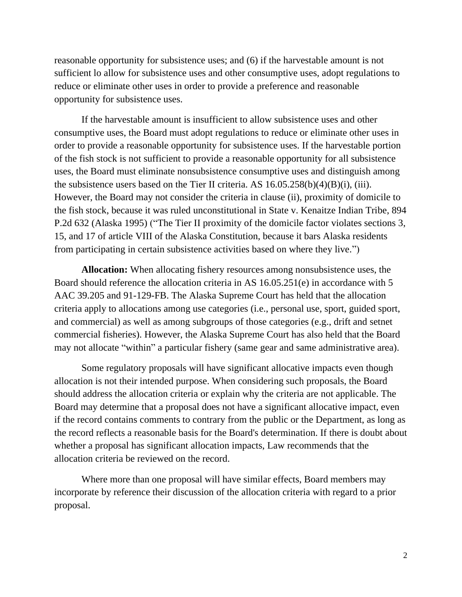reasonable opportunity for subsistence uses; and (6) if the harvestable amount is not sufficient lo allow for subsistence uses and other consumptive uses, adopt regulations to reduce or eliminate other uses in order to provide a preference and reasonable opportunity for subsistence uses.

If the harvestable amount is insufficient to allow subsistence uses and other consumptive uses, the Board must adopt regulations to reduce or eliminate other uses in order to provide a reasonable opportunity for subsistence uses. If the harvestable portion of the fish stock is not sufficient to provide a reasonable opportunity for all subsistence uses, the Board must eliminate nonsubsistence consumptive uses and distinguish among the subsistence users based on the Tier II criteria. AS 16.05.258(b)(4)(B)(i), (iii). However, the Board may not consider the criteria in clause (ii), proximity of domicile to the fish stock, because it was ruled unconstitutional in State v. Kenaitze Indian Tribe, 894 P.2d 632 (Alaska 1995) ("The Tier II proximity of the domicile factor violates sections 3, 15, and 17 of article VIII of the Alaska Constitution, because it bars Alaska residents from participating in certain subsistence activities based on where they live.")

**Allocation:** When allocating fishery resources among nonsubsistence uses, the Board should reference the allocation criteria in AS 16.05.251(e) in accordance with 5 AAC 39.205 and 91-129-FB. The Alaska Supreme Court has held that the allocation criteria apply to allocations among use categories (i.e., personal use, sport, guided sport, and commercial) as well as among subgroups of those categories (e.g., drift and setnet commercial fisheries). However, the Alaska Supreme Court has also held that the Board may not allocate "within" a particular fishery (same gear and same administrative area).

Some regulatory proposals will have significant allocative impacts even though allocation is not their intended purpose. When considering such proposals, the Board should address the allocation criteria or explain why the criteria are not applicable. The Board may determine that a proposal does not have a significant allocative impact, even if the record contains comments to contrary from the public or the Department, as long as the record reflects a reasonable basis for the Board's determination. If there is doubt about whether a proposal has significant allocation impacts, Law recommends that the allocation criteria be reviewed on the record.

Where more than one proposal will have similar effects, Board members may incorporate by reference their discussion of the allocation criteria with regard to a prior proposal.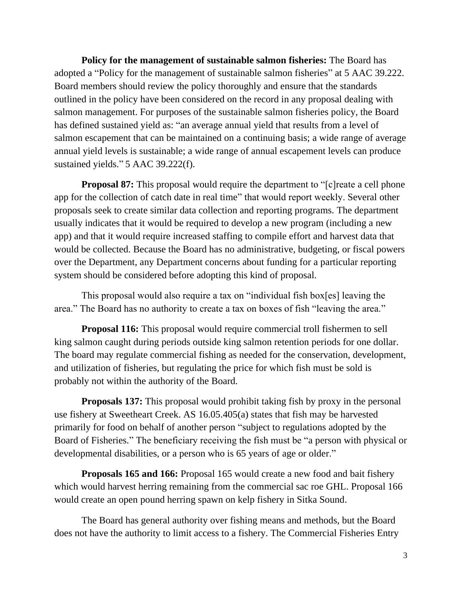**Policy for the management of sustainable salmon fisheries:** The Board has adopted a "Policy for the management of sustainable salmon fisheries" at 5 AAC 39.222. Board members should review the policy thoroughly and ensure that the standards outlined in the policy have been considered on the record in any proposal dealing with salmon management. For purposes of the sustainable salmon fisheries policy, the Board has defined sustained yield as: "an average annual yield that results from a level of salmon escapement that can be maintained on a continuing basis; a wide range of average annual yield levels is sustainable; a wide range of annual escapement levels can produce sustained yields." 5 AAC 39.222(f).

**Proposal 87:** This proposal would require the department to "[c] reate a cell phone app for the collection of catch date in real time" that would report weekly. Several other proposals seek to create similar data collection and reporting programs. The department usually indicates that it would be required to develop a new program (including a new app) and that it would require increased staffing to compile effort and harvest data that would be collected. Because the Board has no administrative, budgeting, or fiscal powers over the Department, any Department concerns about funding for a particular reporting system should be considered before adopting this kind of proposal.

This proposal would also require a tax on "individual fish box[es] leaving the area." The Board has no authority to create a tax on boxes of fish "leaving the area."

**Proposal 116:** This proposal would require commercial troll fishermen to sell king salmon caught during periods outside king salmon retention periods for one dollar. The board may regulate commercial fishing as needed for the conservation, development, and utilization of fisheries, but regulating the price for which fish must be sold is probably not within the authority of the Board.

**Proposals 137:** This proposal would prohibit taking fish by proxy in the personal use fishery at Sweetheart Creek. AS 16.05.405(a) states that fish may be harvested primarily for food on behalf of another person "subject to regulations adopted by the Board of Fisheries." The beneficiary receiving the fish must be "a person with physical or developmental disabilities, or a person who is 65 years of age or older."

**Proposals 165 and 166:** Proposal 165 would create a new food and bait fishery which would harvest herring remaining from the commercial sac roe GHL. Proposal 166 would create an open pound herring spawn on kelp fishery in Sitka Sound.

The Board has general authority over fishing means and methods, but the Board does not have the authority to limit access to a fishery. The Commercial Fisheries Entry